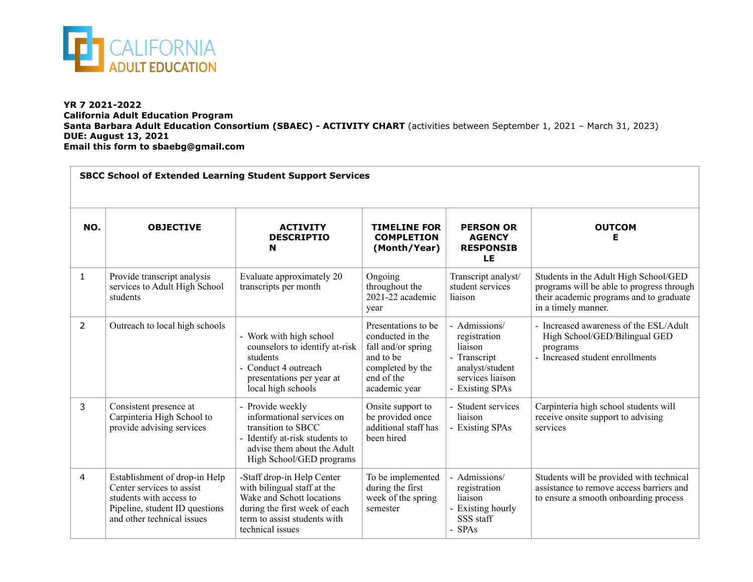

 $\Box$ 

## **YR 7 2021-2022 California Adult Education Program Santa Barbara Adult Education Consortium (SBAEC) - ACTIVITY CHART** (activities between September 1, 2021 – March 31, 2023) **DUE: August 13, 2021 Email this form to sbaebg@gmail.com**

| <b>SBCC School of Extended Learning Student Support Services</b> |                                                                                                                                                       |                                                                                                                                                                             |                                                                                                                               |                                                                                                                    |                                                                                                                                                      |  |  |
|------------------------------------------------------------------|-------------------------------------------------------------------------------------------------------------------------------------------------------|-----------------------------------------------------------------------------------------------------------------------------------------------------------------------------|-------------------------------------------------------------------------------------------------------------------------------|--------------------------------------------------------------------------------------------------------------------|------------------------------------------------------------------------------------------------------------------------------------------------------|--|--|
| NO.                                                              | <b>OBJECTIVE</b>                                                                                                                                      | <b>ACTIVITY</b><br><b>DESCRIPTIO</b><br>N                                                                                                                                   | <b>TIMELINE FOR</b><br><b>COMPLETION</b><br>(Month/Year)                                                                      | <b>PERSON OR</b><br><b>AGENCY</b><br><b>RESPONSIB</b><br>LE                                                        | <b>OUTCOM</b><br>Е                                                                                                                                   |  |  |
| $\mathbf{1}$                                                     | Provide transcript analysis<br>services to Adult High School<br>students                                                                              | Evaluate approximately 20<br>transcripts per month                                                                                                                          | Ongoing<br>throughout the<br>2021-22 academic<br>year                                                                         | Transcript analyst/<br>student services<br>liaison                                                                 | Students in the Adult High School/GED<br>programs will be able to progress through<br>their academic programs and to graduate<br>in a timely manner. |  |  |
| 2                                                                | Outreach to local high schools                                                                                                                        | - Work with high school<br>counselors to identify at-risk<br>students<br>- Conduct 4 outreach<br>presentations per year at<br>local high schools                            | Presentations to be<br>conducted in the<br>fall and/or spring<br>and to be<br>completed by the<br>end of the<br>academic year | - Admissions/<br>registration<br>liaison<br>- Transcript<br>analyst/student<br>services liaison<br>- Existing SPAs | - Increased awareness of the ESL/Adult<br>High School/GED/Bilingual GED<br>programs<br>- Increased student enrollments                               |  |  |
| 3                                                                | Consistent presence at<br>Carpinteria High School to<br>provide advising services                                                                     | - Provide weekly<br>informational services on<br>transition to SBCC<br>- Identify at-risk students to<br>advise them about the Adult<br>High School/GED programs            | Onsite support to<br>be provided once<br>additional staff has<br>been hired                                                   | - Student services<br>liaison<br>- Existing SPAs                                                                   | Carpinteria high school students will<br>receive onsite support to advising<br>services                                                              |  |  |
| 4                                                                | Establishment of drop-in Help<br>Center services to assist<br>students with access to<br>Pipeline, student ID questions<br>and other technical issues | -Staff drop-in Help Center<br>with bilingual staff at the<br>Wake and Schott locations<br>during the first week of each<br>term to assist students with<br>technical issues | To be implemented<br>during the first<br>week of the spring<br>semester                                                       | - Admissions/<br>registration<br>liaison<br>- Existing hourly<br>SSS staff<br>- SPAs                               | Students will be provided with technical<br>assistance to remove access barriers and<br>to ensure a smooth onboarding process                        |  |  |